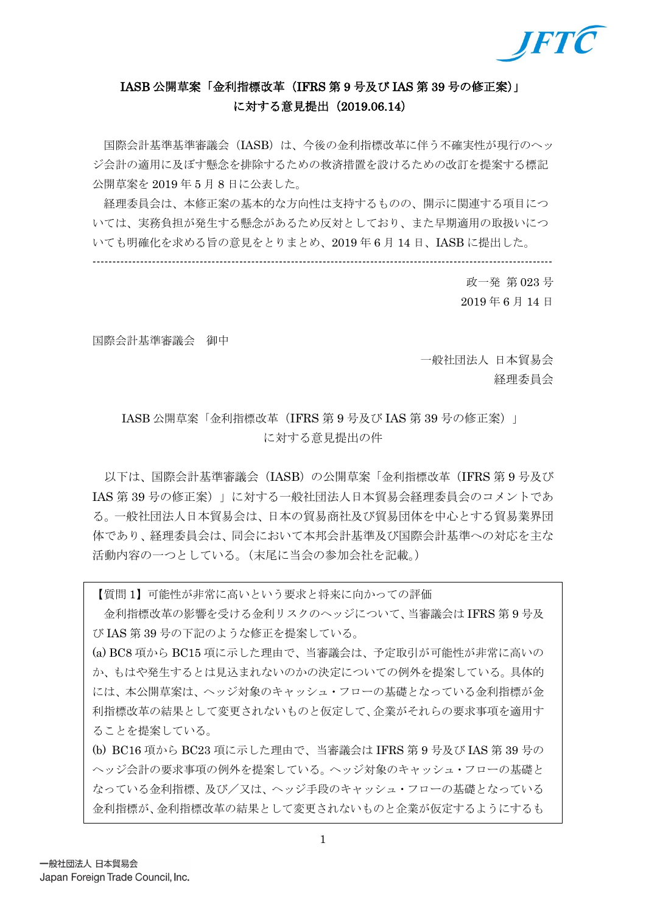

## IASB 公開草案「金利指標改革(IFRS 第 9 号及び IAS 第 39 号の修正案)」 に対する意見提出(2019.06.14)

国際会計基準基準審議会(IASB)は、今後の金利指標改革に伴う不確実性が現行のヘッ ジ会計の適用に及ぼす懸念を排除するための救済措置を設けるための改訂を提案する標記 公開草案を 2019 年 5 月 8 日に公表した。

経理委員会は、本修正案の基本的な方向性は支持するものの、開示に関連する項目につ いては、実務負担が発生する懸念があるため反対としており、また早期適用の取扱いにつ いても明確化を求める旨の意見をとりまとめ、2019 年 6 月 14 日、IASB に提出した。

--------------------------------------------------------------------------------------------------------------------

政一発 第 023 号 2019 年 6 月 14 日

国際会計基準審議会 御中

一般社団法人 日本貿易会 経理委員会

### IASB 公開草案「金利指標改革(IFRS 第 9 号及び IAS 第 39 号の修正案)」 に対する意見提出の件

以下は、国際会計基準審議会(IASB)の公開草案「金利指標改革(IFRS 第 9 号及び IAS 第 39 号の修正案)」に対する一般社団法人日本貿易会経理委員会のコメントであ る。一般社団法人日本貿易会は、日本の貿易商社及び貿易団体を中心とする貿易業界団 体であり、経理委員会は、同会において本邦会計基準及び国際会計基準への対応を主な 活動内容の一つとしている。(末尾に当会の参加会社を記載。)

【質問 1】可能性が非常に高いという要求と将来に向かっての評価

金利指標改革の影響を受ける金利リスクのヘッジについて、当審議会は IFRS 第 9 号及 び IAS 第 39 号の下記のような修正を提案している。

(a) BC8 項から BC15 項に示した理由で、当審議会は、予定取引が可能性が非常に高いの か、もはや発生するとは見込まれないのかの決定についての例外を提案している。具体的 には、本公開草案は、ヘッジ対象のキャッシュ・フローの基礎となっている金利指標が金 利指標改革の結果として変更されないものと仮定して、企業がそれらの要求事項を適用す ることを提案している。

(b) BC16 項から BC23 項に示した理由で、当審議会は IFRS 第 9 号及び IAS 第 39 号の ヘッジ会計の要求事項の例外を提案している。ヘッジ対象のキャッシュ・フローの基礎と なっている金利指標、及び/又は、ヘッジ手段のキャッシュ・フローの基礎となっている 金利指標が、金利指標改革の結果として変更されないものと企業が仮定するようにするも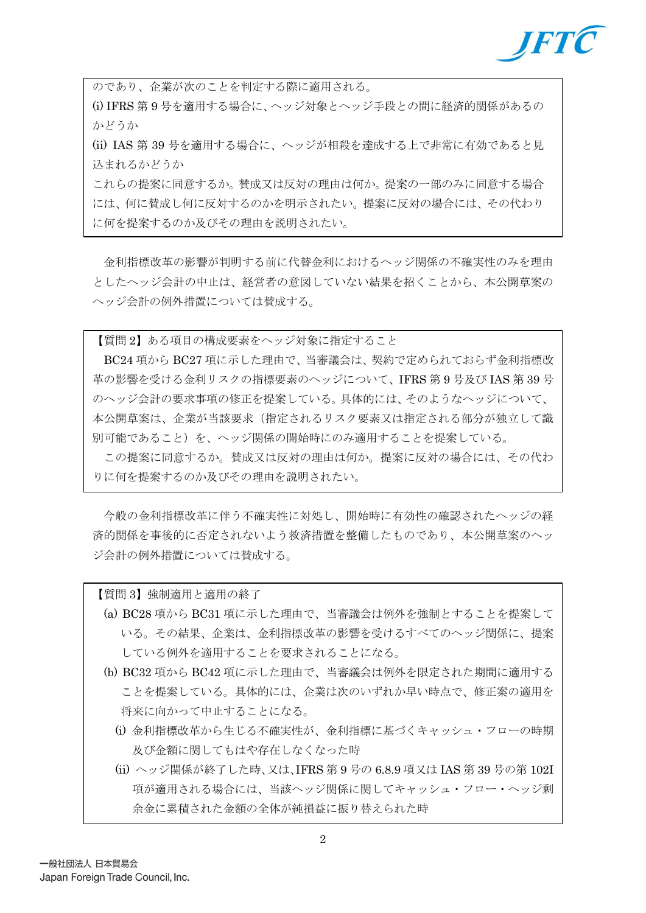

のであり、企業が次のことを判定する際に適用される。

(i) IFRS 第 9 号を適用する場合に、ヘッジ対象とヘッジ手段との間に経済的関係があるの かどうか

(ii) IAS 第 39 号を適用する場合に、ヘッジが相殺を達成する上で非常に有効であると見 込まれるかどうか

これらの提案に同意するか。賛成又は反対の理由は何か。提案の一部のみに同意する場合 には、何に賛成し何に反対するのかを明示されたい。提案に反対の場合には、その代わり に何を提案するのか及びその理由を説明されたい。

金利指標改革の影響が判明する前に代替金利におけるヘッジ関係の不確実性のみを理由 としたヘッジ会計の中止は、経営者の意図していない結果を招くことから、本公開草案の ヘッジ会計の例外措置については賛成する。

【質問 2】ある項目の構成要素をヘッジ対象に指定すること

BC24 項から BC27 項に示した理由で、当審議会は、契約で定められておらず金利指標改 革の影響を受ける金利リスクの指標要素のヘッジについて、IFRS 第 9 号及び IAS 第 39 号 のヘッジ会計の要求事項の修正を提案している。具体的には、そのようなヘッジについて、 本公開草案は、企業が当該要求(指定されるリスク要素又は指定される部分が独立して識 別可能であること)を、ヘッジ関係の開始時にのみ適用することを提案している。

この提案に同意するか。賛成又は反対の理由は何か。提案に反対の場合には、その代わ りに何を提案するのか及びその理由を説明されたい。

今般の金利指標改革に伴う不確実性に対処し、開始時に有効性の確認されたヘッジの経 済的関係を事後的に否定されないよう救済措置を整備したものであり、本公開草案のヘッ ジ会計の例外措置については賛成する。

【質問 3】強制適用と適用の終了

- (a) BC28 項から BC31 項に示した理由で、当審議会は例外を強制とすることを提案して いる。その結果、企業は、金利指標改革の影響を受けるすべてのヘッジ関係に、提案 している例外を適用することを要求されることになる。
- (b) BC32 項から BC42 項に示した理由で、当審議会は例外を限定された期間に適用する ことを提案している。具体的には、企業は次のいずれか早い時点で、修正案の適用を 将来に向かって中止することになる。
	- (i) 金利指標改革から生じる不確実性が、金利指標に基づくキャッシュ・フローの時期 及び金額に関してもはや存在しなくなった時
	- (ii) ヘッジ関係が終了した時、又は、IFRS 第 9 号の 6.8.9 項又は IAS 第 39 号の第 102I 項が適用される場合には、当該ヘッジ関係に関してキャッシュ・フロー・ヘッジ剰 余金に累積された金額の全体が純損益に振り替えられた時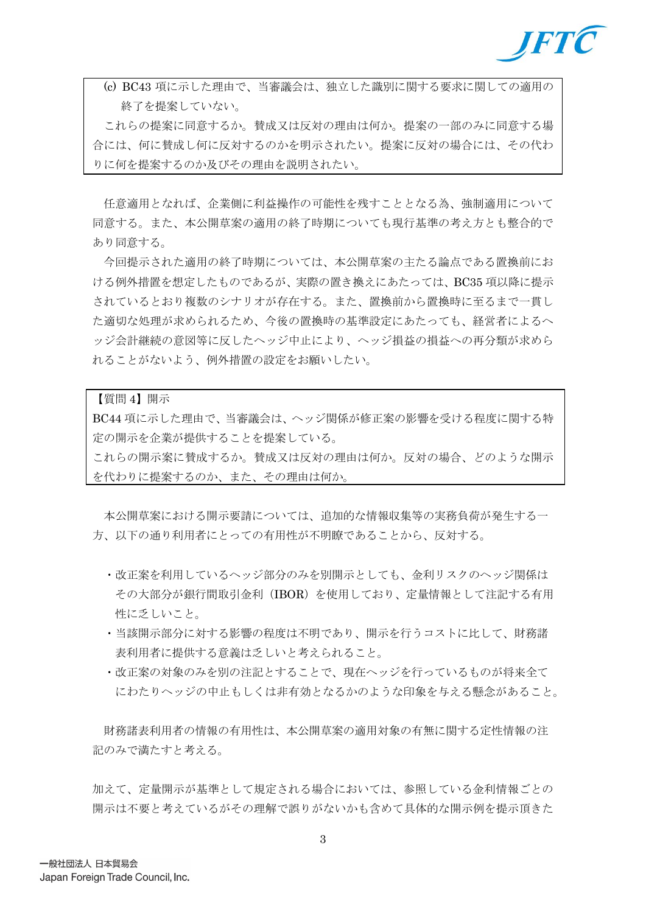

(c) BC43 項に示した理由で、当審議会は、独立した識別に関する要求に関しての適用の 終了を提案していない。

これらの提案に同意するか。賛成又は反対の理由は何か。提案の一部のみに同意する場 合には、何に賛成し何に反対するのかを明示されたい。提案に反対の場合には、その代わ りに何を提案するのか及びその理由を説明されたい。

任意適用となれば、企業側に利益操作の可能性を残すこととなる為、強制適用について 同意する。また、本公開草案の適用の終了時期についても現行基準の考え方とも整合的で あり同意する。

今回提示された適用の終了時期については、本公開草案の主たる論点である置換前にお ける例外措置を想定したものであるが、実際の置き換えにあたっては、BC35 項以降に提示 されているとおり複数のシナリオが存在する。また、置換前から置換時に至るまで一貫し た適切な処理が求められるため、今後の置換時の基準設定にあたっても、経営者によるヘ ッジ会計継続の意図等に反したヘッジ中止により、ヘッジ損益の損益への再分類が求めら れることがないよう、例外措置の設定をお願いしたい。

#### 【質問 4】開示

BC44 項に示した理由で、当審議会は、ヘッジ関係が修正案の影響を受ける程度に関する特 定の開示を企業が提供することを提案している。

これらの開示案に賛成するか。賛成又は反対の理由は何か。反対の場合、どのような開示 を代わりに提案するのか、また、その理由は何か。

本公開草案における開示要請については、追加的な情報収集等の実務負荷が発生する一 方、以下の通り利用者にとっての有用性が不明瞭であることから、反対する。

- ・改正案を利用しているヘッジ部分のみを別開示としても、金利リスクのヘッジ関係は その大部分が銀行間取引金利(IBOR)を使用しており、定量情報として注記する有用 性に乏しいこと。
- ・当該開示部分に対する影響の程度は不明であり、開示を行うコストに比して、財務諸 表利用者に提供する意義は乏しいと考えられること。
- ・改正案の対象のみを別の注記とすることで、現在ヘッジを行っているものが将来全て にわたりヘッジの中止もしくは非有効となるかのような印象を与える懸念があること。

財務諸表利用者の情報の有用性は、本公開草案の適用対象の有無に関する定性情報の注 記のみで満たすと考える。

加えて、定量開示が基準として規定される場合においては、参照している金利情報ごとの 開示は不要と考えているがその理解で誤りがないかも含めて具体的な開示例を提示頂きた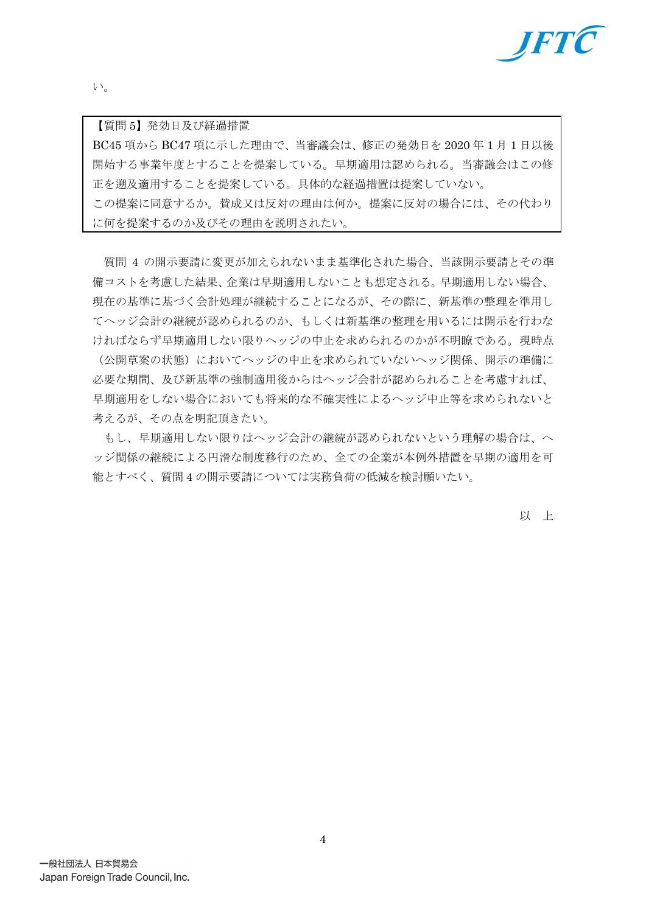

い。

【質問 5】発効日及び経過措置

BC45 項から BC47 項に示した理由で、当審議会は、修正の発効日を 2020 年 1 月 1 日以後 開始する事業年度とすることを提案している。早期適用は認められる。当審議会はこの修 正を遡及適用することを提案している。具体的な経過措置は提案していない。 この提案に同意するか。賛成又は反対の理由は何か。提案に反対の場合には、その代わり に何を提案するのか及びその理由を説明されたい。

質問 4 の開示要請に変更が加えられないまま基準化された場合、当該開示要請とその準 備コストを考慮した結果、企業は早期適用しないことも想定される。早期適用しない場合、 現在の基準に基づく会計処理が継続することになるが、その際に、新基準の整理を準用し てヘッジ会計の継続が認められるのか、もしくは新基準の整理を用いるには開示を行わな ければならず早期適用しない限りヘッジの中止を求められるのかが不明瞭である。現時点

(公開草案の状態)においてヘッジの中止を求められていないヘッジ関係、開示の準備に 必要な期間、及び新基準の強制適用後からはヘッジ会計が認められることを考慮すれば、 早期適用をしない場合においても将来的な不確実性によるヘッジ中止等を求められないと 考えるが、その点を明記頂きたい。

もし、早期適用しない限りはヘッジ会計の継続が認められないという理解の場合は、ヘ ッジ関係の継続による円滑な制度移行のため、全ての企業が本例外措置を早期の適用を可 能とすべく、質問 4 の開示要請については実務負荷の低減を検討願いたい。

以 上

4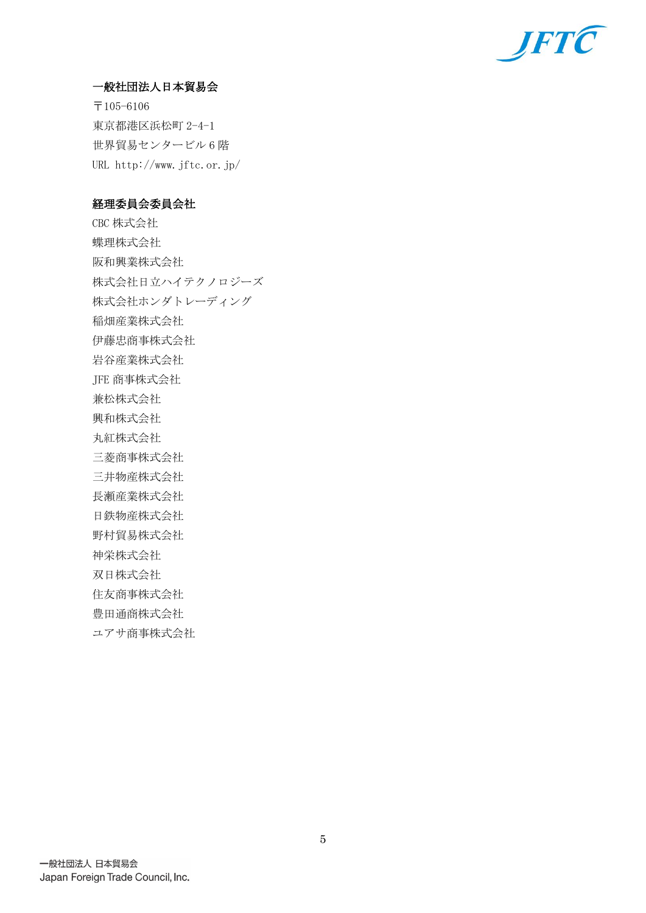

#### 一般社団法人日本貿易会

〒105-6106 東京都港区浜松町 2-4-1 世界貿易センタービル 6 階 URL http://www.jftc.or.jp/

#### 経理委員会委員会社

CBC 株式会社 蝶理株式会社 阪和興業株式会社 株式会社日立ハイテクノロジーズ 株式会社ホンダトレーディング 稲畑産業株式会社 伊藤忠商事株式会社 岩谷産業株式会社 JFE 商事株式会社 兼松株式会社 興和株式会社 丸紅株式会社 三菱商事株式会社 三井物産株式会社 長瀬産業株式会社 日鉄物産株式会社 野村貿易株式会社 神栄株式会社 双日株式会社 住友商事株式会社 豊田通商株式会社 ユアサ商事株式会社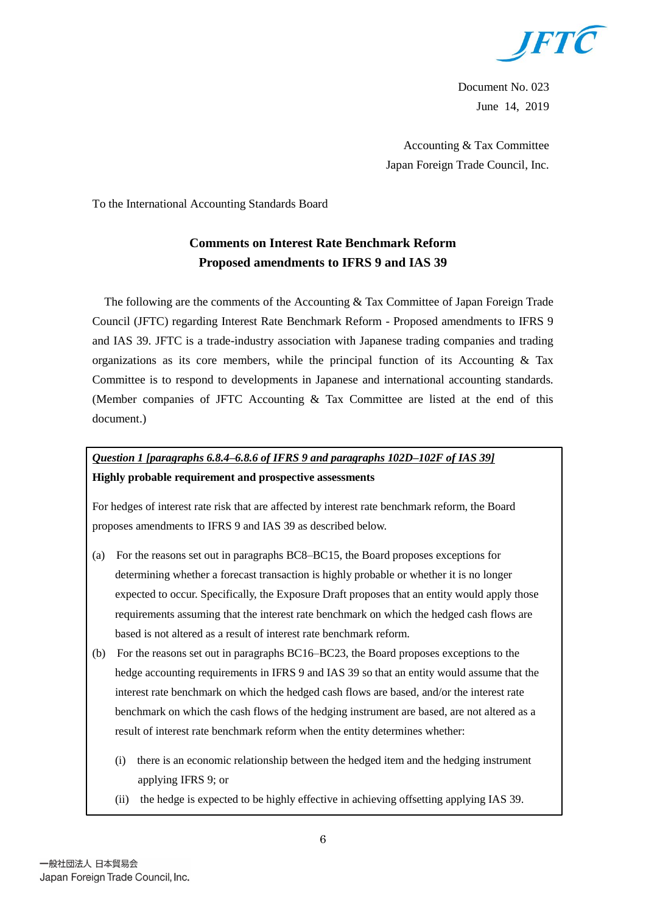

Document No. 023 June 14, 2019

Accounting & Tax Committee Japan Foreign Trade Council, Inc.

To the International Accounting Standards Board

# **Comments on Interest Rate Benchmark Reform Proposed amendments to IFRS 9 and IAS 39**

The following are the comments of the Accounting & Tax Committee of Japan Foreign Trade Council (JFTC) regarding Interest Rate Benchmark Reform - Proposed amendments to IFRS 9 and IAS 39. JFTC is a trade-industry association with Japanese trading companies and trading organizations as its core members, while the principal function of its Accounting  $\&$  Tax Committee is to respond to developments in Japanese and international accounting standards. (Member companies of JFTC Accounting & Tax Committee are listed at the end of this document.)

# *Question 1 [paragraphs 6.8.4–6.8.6 of IFRS 9 and paragraphs 102D–102F of IAS 39]* **Highly probable requirement and prospective assessments**

For hedges of interest rate risk that are affected by interest rate benchmark reform, the Board proposes amendments to IFRS 9 and IAS 39 as described below.

- (a) For the reasons set out in paragraphs BC8–BC15, the Board proposes exceptions for determining whether a forecast transaction is highly probable or whether it is no longer expected to occur. Specifically, the Exposure Draft proposes that an entity would apply those requirements assuming that the interest rate benchmark on which the hedged cash flows are based is not altered as a result of interest rate benchmark reform.
- (b) For the reasons set out in paragraphs BC16–BC23, the Board proposes exceptions to the hedge accounting requirements in IFRS 9 and IAS 39 so that an entity would assume that the interest rate benchmark on which the hedged cash flows are based, and/or the interest rate benchmark on which the cash flows of the hedging instrument are based, are not altered as a result of interest rate benchmark reform when the entity determines whether:
	- (i) there is an economic relationship between the hedged item and the hedging instrument applying IFRS 9; or
	- (ii) the hedge is expected to be highly effective in achieving offsetting applying IAS 39.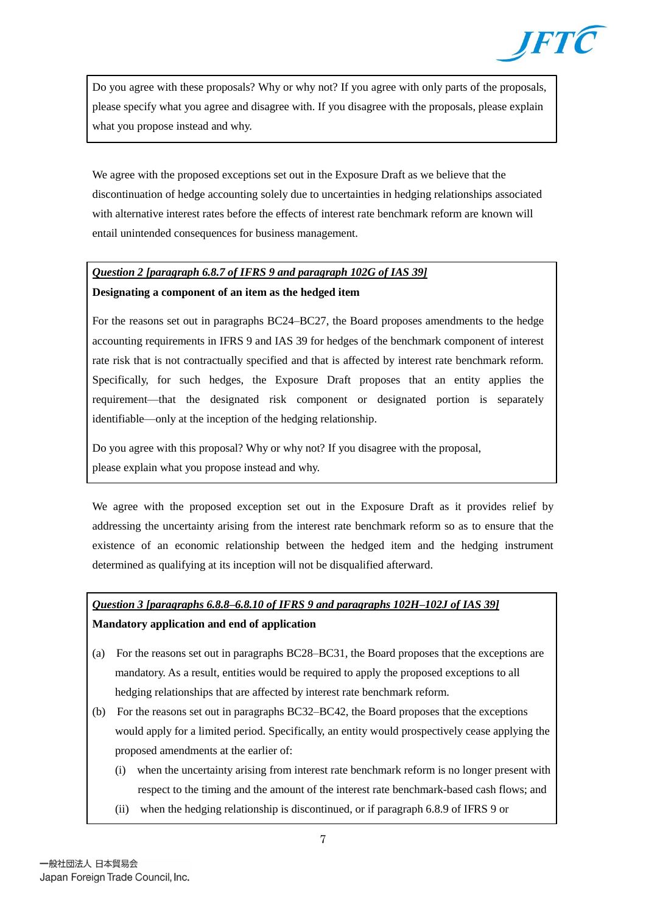

Do you agree with these proposals? Why or why not? If you agree with only parts of the proposals, please specify what you agree and disagree with. If you disagree with the proposals, please explain what you propose instead and why.

We agree with the proposed exceptions set out in the Exposure Draft as we believe that the discontinuation of hedge accounting solely due to uncertainties in hedging relationships associated with alternative interest rates before the effects of interest rate benchmark reform are known will entail unintended consequences for business management.

### *Question 2 [paragraph 6.8.7 of IFRS 9 and paragraph 102G of IAS 39]* **Designating a component of an item as the hedged item**

For the reasons set out in paragraphs BC24–BC27, the Board proposes amendments to the hedge accounting requirements in IFRS 9 and IAS 39 for hedges of the benchmark component of interest rate risk that is not contractually specified and that is affected by interest rate benchmark reform. Specifically, for such hedges, the Exposure Draft proposes that an entity applies the requirement—that the designated risk component or designated portion is separately identifiable—only at the inception of the hedging relationship.

Do you agree with this proposal? Why or why not? If you disagree with the proposal, please explain what you propose instead and why.

We agree with the proposed exception set out in the Exposure Draft as it provides relief by addressing the uncertainty arising from the interest rate benchmark reform so as to ensure that the existence of an economic relationship between the hedged item and the hedging instrument determined as qualifying at its inception will not be disqualified afterward.

### *Question 3 [paragraphs 6.8.8–6.8.10 of IFRS 9 and paragraphs 102H–102J of IAS 39]*

#### **Mandatory application and end of application**

- (a) For the reasons set out in paragraphs BC28–BC31, the Board proposes that the exceptions are mandatory. As a result, entities would be required to apply the proposed exceptions to all hedging relationships that are affected by interest rate benchmark reform.
- (b) For the reasons set out in paragraphs BC32–BC42, the Board proposes that the exceptions would apply for a limited period. Specifically, an entity would prospectively cease applying the proposed amendments at the earlier of:
	- (i) when the uncertainty arising from interest rate benchmark reform is no longer present with respect to the timing and the amount of the interest rate benchmark-based cash flows; and
	- (ii) when the hedging relationship is discontinued, or if paragraph 6.8.9 of IFRS 9 or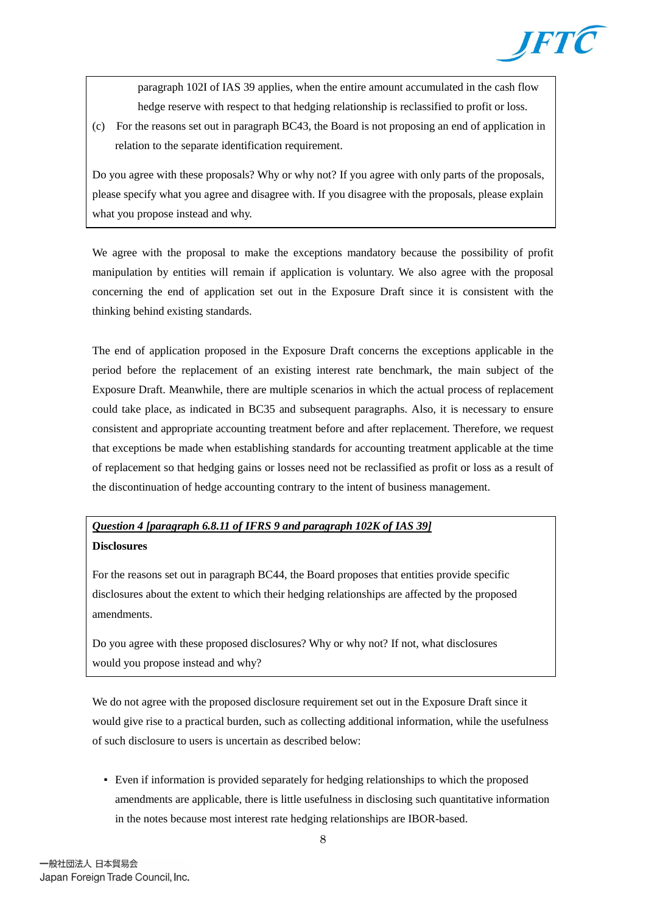

paragraph 102I of IAS 39 applies, when the entire amount accumulated in the cash flow hedge reserve with respect to that hedging relationship is reclassified to profit or loss.

(c) For the reasons set out in paragraph BC43, the Board is not proposing an end of application in relation to the separate identification requirement.

Do you agree with these proposals? Why or why not? If you agree with only parts of the proposals, please specify what you agree and disagree with. If you disagree with the proposals, please explain what you propose instead and why.

We agree with the proposal to make the exceptions mandatory because the possibility of profit manipulation by entities will remain if application is voluntary. We also agree with the proposal concerning the end of application set out in the Exposure Draft since it is consistent with the thinking behind existing standards.

The end of application proposed in the Exposure Draft concerns the exceptions applicable in the period before the replacement of an existing interest rate benchmark, the main subject of the Exposure Draft. Meanwhile, there are multiple scenarios in which the actual process of replacement could take place, as indicated in BC35 and subsequent paragraphs. Also, it is necessary to ensure consistent and appropriate accounting treatment before and after replacement. Therefore, we request that exceptions be made when establishing standards for accounting treatment applicable at the time of replacement so that hedging gains or losses need not be reclassified as profit or loss as a result of the discontinuation of hedge accounting contrary to the intent of business management.

## *Question 4 [paragraph 6.8.11 of IFRS 9 and paragraph 102K of IAS 39]* **Disclosures**

For the reasons set out in paragraph BC44, the Board proposes that entities provide specific disclosures about the extent to which their hedging relationships are affected by the proposed amendments.

Do you agree with these proposed disclosures? Why or why not? If not, what disclosures would you propose instead and why?

We do not agree with the proposed disclosure requirement set out in the Exposure Draft since it would give rise to a practical burden, such as collecting additional information, while the usefulness of such disclosure to users is uncertain as described below:

▪ Even if information is provided separately for hedging relationships to which the proposed amendments are applicable, there is little usefulness in disclosing such quantitative information in the notes because most interest rate hedging relationships are IBOR-based.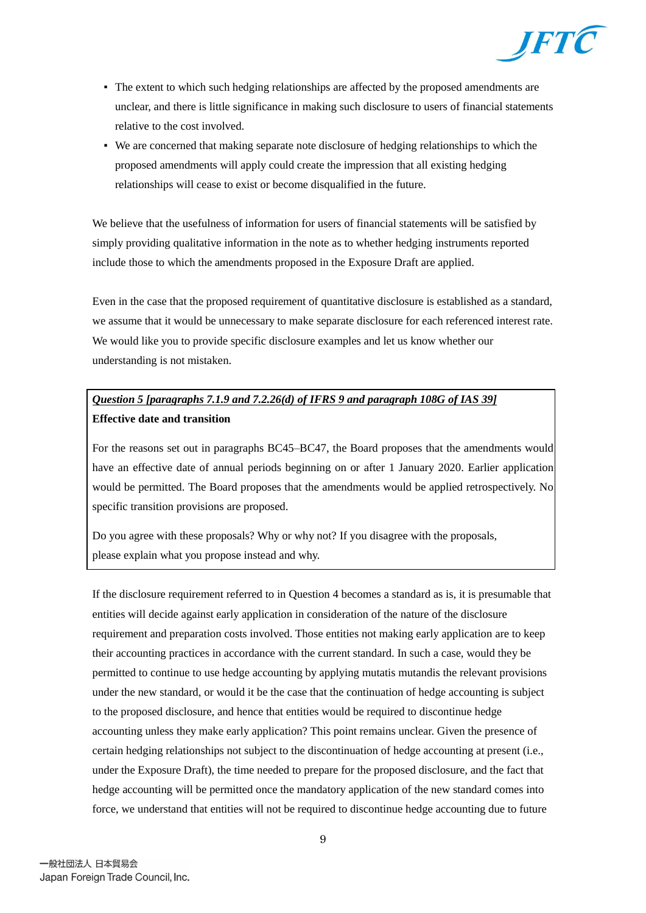

- The extent to which such hedging relationships are affected by the proposed amendments are unclear, and there is little significance in making such disclosure to users of financial statements relative to the cost involved.
- We are concerned that making separate note disclosure of hedging relationships to which the proposed amendments will apply could create the impression that all existing hedging relationships will cease to exist or become disqualified in the future.

We believe that the usefulness of information for users of financial statements will be satisfied by simply providing qualitative information in the note as to whether hedging instruments reported include those to which the amendments proposed in the Exposure Draft are applied.

Even in the case that the proposed requirement of quantitative disclosure is established as a standard, we assume that it would be unnecessary to make separate disclosure for each referenced interest rate. We would like you to provide specific disclosure examples and let us know whether our understanding is not mistaken.

## *Question 5 [paragraphs 7.1.9 and 7.2.26(d) of IFRS 9 and paragraph 108G of IAS 39]* **Effective date and transition**

For the reasons set out in paragraphs BC45–BC47, the Board proposes that the amendments would have an effective date of annual periods beginning on or after 1 January 2020. Earlier application would be permitted. The Board proposes that the amendments would be applied retrospectively. No specific transition provisions are proposed.

Do you agree with these proposals? Why or why not? If you disagree with the proposals, please explain what you propose instead and why.

If the disclosure requirement referred to in Question 4 becomes a standard as is, it is presumable that entities will decide against early application in consideration of the nature of the disclosure requirement and preparation costs involved. Those entities not making early application are to keep their accounting practices in accordance with the current standard. In such a case, would they be permitted to continue to use hedge accounting by applying mutatis mutandis the relevant provisions under the new standard, or would it be the case that the continuation of hedge accounting is subject to the proposed disclosure, and hence that entities would be required to discontinue hedge accounting unless they make early application? This point remains unclear. Given the presence of certain hedging relationships not subject to the discontinuation of hedge accounting at present (i.e., under the Exposure Draft), the time needed to prepare for the proposed disclosure, and the fact that hedge accounting will be permitted once the mandatory application of the new standard comes into force, we understand that entities will not be required to discontinue hedge accounting due to future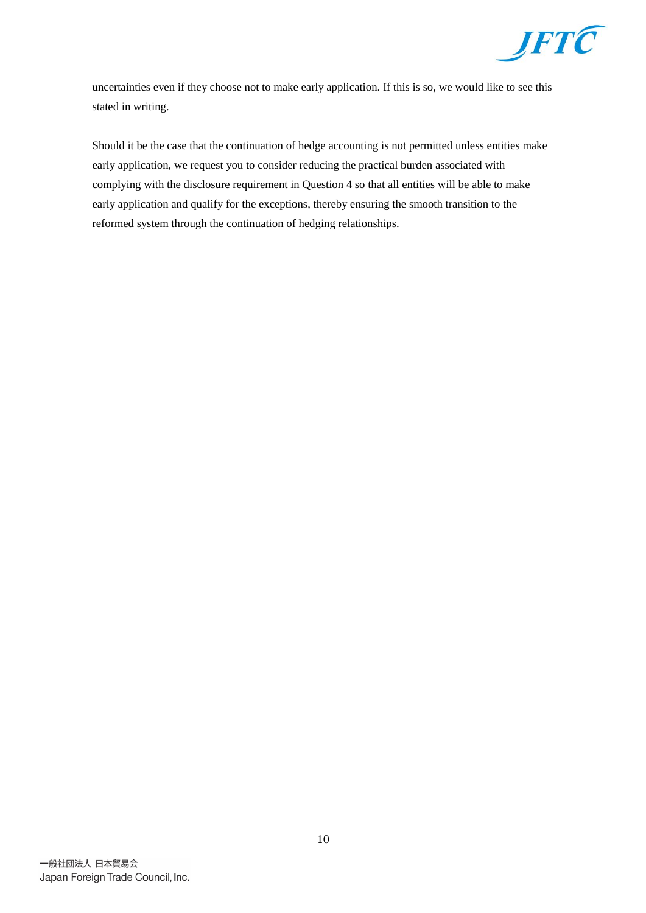

uncertainties even if they choose not to make early application. If this is so, we would like to see this stated in writing.

Should it be the case that the continuation of hedge accounting is not permitted unless entities make early application, we request you to consider reducing the practical burden associated with complying with the disclosure requirement in Question 4 so that all entities will be able to make early application and qualify for the exceptions, thereby ensuring the smooth transition to the reformed system through the continuation of hedging relationships.